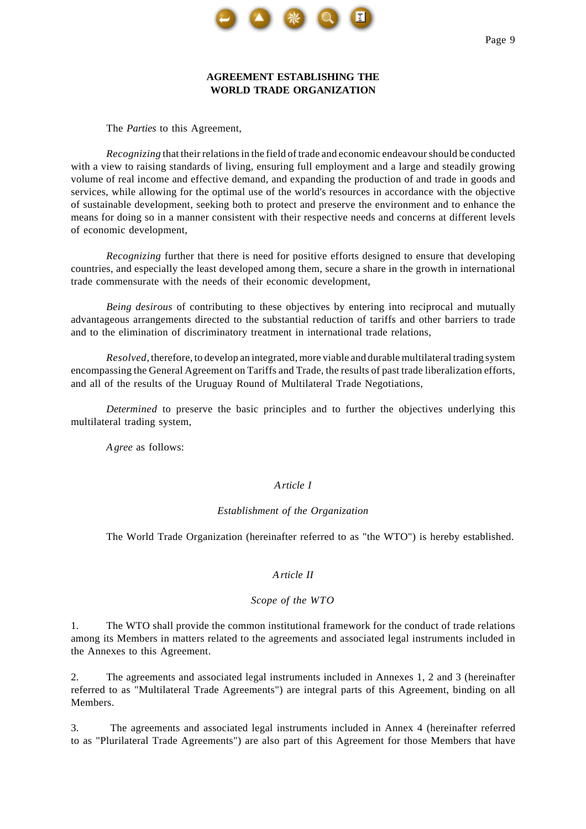# **AGREEMENT ESTABLISHING THE WORLD TRADE ORGANIZATION**

The *Parties* to this Agreement,

*Recognizing* that their relations in the field of trade and economic endeavour should be conducted with a view to raising standards of living, ensuring full employment and a large and steadily growing volume of real income and effective demand, and expanding the production of and trade in goods and services, while allowing for the optimal use of the world's resources in accordance with the objective of sustainable development, seeking both to protect and preserve the environment and to enhance the means for doing so in a manner consistent with their respective needs and concerns at different levels of economic development,

*Recognizing* further that there is need for positive efforts designed to ensure that developing countries, and especially the least developed among them, secure a share in the growth in international trade commensurate with the needs of their economic development,

*Being desirous* of contributing to these objectives by entering into reciprocal and mutually advantageous arrangements directed to the substantial reduction of tariffs and other barriers to trade and to the elimination of discriminatory treatment in international trade relations,

*Resolved*, therefore, to develop an integrated, more viable and durable multilateral trading system encompassing the General Agreement on Tariffs and Trade, the results of past trade liberalization efforts, and all of the results of the Uruguay Round of Multilateral Trade Negotiations,

*Determined* to preserve the basic principles and to further the objectives underlying this multilateral trading system,

*Agree* as follows:

# *Article I*

#### *Establishment of the Organization*

The World Trade Organization (hereinafter referred to as "the WTO") is hereby established.

# *Article II*

#### *Scope of the WTO*

1. The WTO shall provide the common institutional framework for the conduct of trade relations among its Members in matters related to the agreements and associated legal instruments included in the Annexes to this Agreement.

2. The agreements and associated legal instruments included in Annexes 1, 2 and 3 (hereinafter referred to as "Multilateral Trade Agreements") are integral parts of this Agreement, binding on all Members.

3. The agreements and associated legal instruments included in Annex 4 (hereinafter referred to as "Plurilateral Trade Agreements") are also part of this Agreement for those Members that have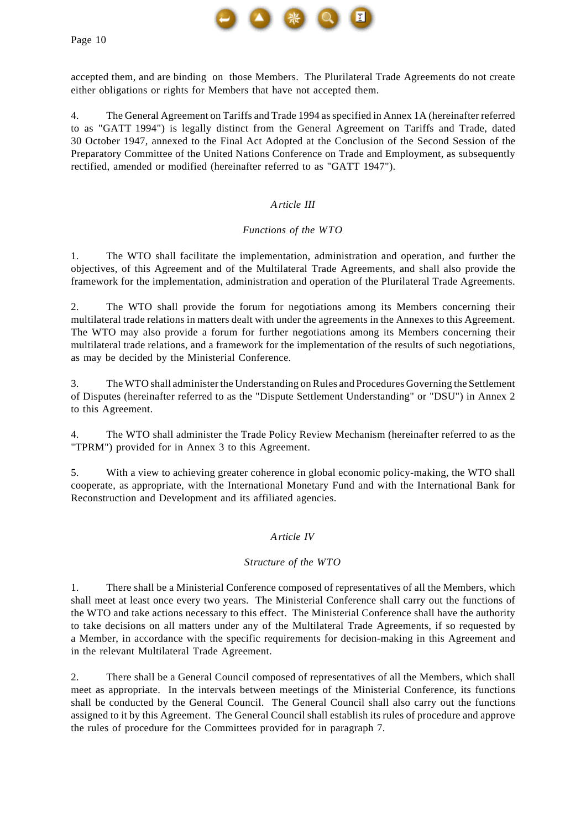accepted them, and are binding on those Members. The Plurilateral Trade Agreements do not create either obligations or rights for Members that have not accepted them.

4. The General Agreement on Tariffs and Trade 1994 as specified in Annex 1A (hereinafter referred to as "GATT 1994") is legally distinct from the General Agreement on Tariffs and Trade, dated 30 October 1947, annexed to the Final Act Adopted at the Conclusion of the Second Session of the Preparatory Committee of the United Nations Conference on Trade and Employment, as subsequently rectified, amended or modified (hereinafter referred to as "GATT 1947").

# *Article III*

# *Functions of the WTO*

1. The WTO shall facilitate the implementation, administration and operation, and further the objectives, of this Agreement and of the Multilateral Trade Agreements, and shall also provide the framework for the implementation, administration and operation of the Plurilateral Trade Agreements.

2. The WTO shall provide the forum for negotiations among its Members concerning their multilateral trade relations in matters dealt with under the agreements in the Annexes to this Agreement. The WTO may also provide a forum for further negotiations among its Members concerning their multilateral trade relations, and a framework for the implementation of the results of such negotiations, as may be decided by the Ministerial Conference.

3. The WTO shall administer the Understanding on Rules and Procedures Governing the Settlement of Disputes (hereinafter referred to as the "Dispute Settlement Understanding" or "DSU") in Annex 2 to this Agreement.

4. The WTO shall administer the Trade Policy Review Mechanism (hereinafter referred to as the "TPRM") provided for in Annex 3 to this Agreement.

5. With a view to achieving greater coherence in global economic policy-making, the WTO shall cooperate, as appropriate, with the International Monetary Fund and with the International Bank for Reconstruction and Development and its affiliated agencies.

# *Article IV*

# *Structure of the WTO*

1. There shall be a Ministerial Conference composed of representatives of all the Members, which shall meet at least once every two years. The Ministerial Conference shall carry out the functions of the WTO and take actions necessary to this effect. The Ministerial Conference shall have the authority to take decisions on all matters under any of the Multilateral Trade Agreements, if so requested by a Member, in accordance with the specific requirements for decision-making in this Agreement and in the relevant Multilateral Trade Agreement.

2. There shall be a General Council composed of representatives of all the Members, which shall meet as appropriate. In the intervals between meetings of the Ministerial Conference, its functions shall be conducted by the General Council. The General Council shall also carry out the functions assigned to it by this Agreement. The General Council shall establish its rules of procedure and approve the rules of procedure for the Committees provided for in paragraph 7.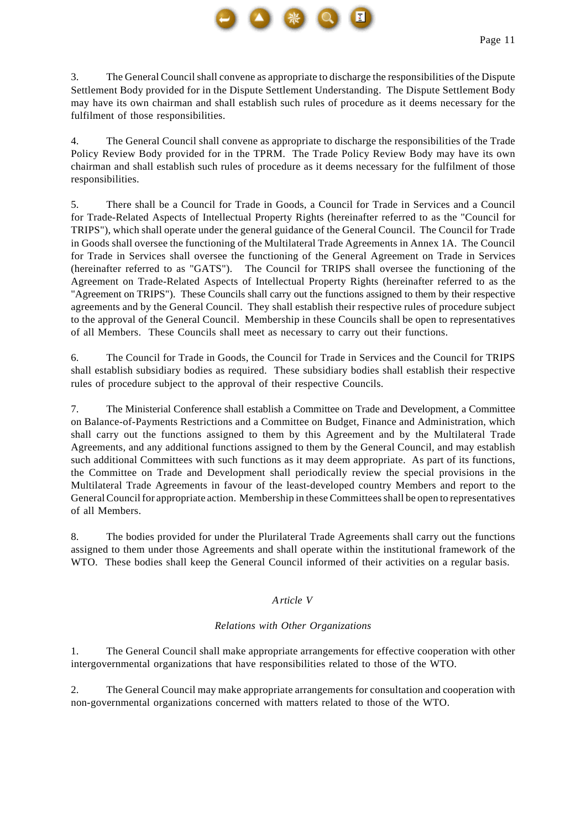3. The General Council shall convene as appropriate to discharge the responsibilities of the Dispute Settlement Body provided for in the Dispute Settlement Understanding. The Dispute Settlement Body may have its own chairman and shall establish such rules of procedure as it deems necessary for the fulfilment of those responsibilities.

4. The General Council shall convene as appropriate to discharge the responsibilities of the Trade Policy Review Body provided for in the TPRM. The Trade Policy Review Body may have its own chairman and shall establish such rules of procedure as it deems necessary for the fulfilment of those responsibilities.

5. There shall be a Council for Trade in Goods, a Council for Trade in Services and a Council for Trade-Related Aspects of Intellectual Property Rights (hereinafter referred to as the "Council for TRIPS"), which shall operate under the general guidance of the General Council. The Council for Trade in Goods shall oversee the functioning of the Multilateral Trade Agreements in Annex 1A. The Council for Trade in Services shall oversee the functioning of the General Agreement on Trade in Services (hereinafter referred to as "GATS"). The Council for TRIPS shall oversee the functioning of the Agreement on Trade-Related Aspects of Intellectual Property Rights (hereinafter referred to as the "Agreement on TRIPS"). These Councils shall carry out the functions assigned to them by their respective agreements and by the General Council. They shall establish their respective rules of procedure subject to the approval of the General Council. Membership in these Councils shall be open to representatives of all Members. These Councils shall meet as necessary to carry out their functions.

6. The Council for Trade in Goods, the Council for Trade in Services and the Council for TRIPS shall establish subsidiary bodies as required. These subsidiary bodies shall establish their respective rules of procedure subject to the approval of their respective Councils.

7. The Ministerial Conference shall establish a Committee on Trade and Development, a Committee on Balance-of-Payments Restrictions and a Committee on Budget, Finance and Administration, which shall carry out the functions assigned to them by this Agreement and by the Multilateral Trade Agreements, and any additional functions assigned to them by the General Council, and may establish such additional Committees with such functions as it may deem appropriate. As part of its functions, the Committee on Trade and Development shall periodically review the special provisions in the Multilateral Trade Agreements in favour of the least-developed country Members and report to the General Council for appropriate action. Membership in these Committees shall be open to representatives of all Members.

8. The bodies provided for under the Plurilateral Trade Agreements shall carry out the functions assigned to them under those Agreements and shall operate within the institutional framework of the WTO. These bodies shall keep the General Council informed of their activities on a regular basis.

# *Article V*

# *Relations with Other Organizations*

1. The General Council shall make appropriate arrangements for effective cooperation with other intergovernmental organizations that have responsibilities related to those of the WTO.

2. The General Council may make appropriate arrangements for consultation and cooperation with non-governmental organizations concerned with matters related to those of the WTO.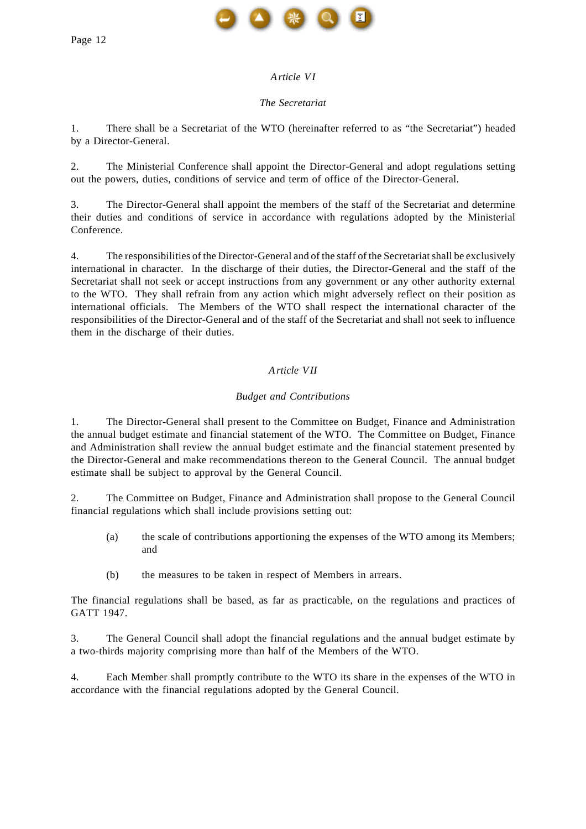### *Article VI*

### *The Secretariat*

1. There shall be a Secretariat of the WTO (hereinafter referred to as "the Secretariat") headed by a Director-General.

2. The Ministerial Conference shall appoint the Director-General and adopt regulations setting out the powers, duties, conditions of service and term of office of the Director-General.

3. The Director-General shall appoint the members of the staff of the Secretariat and determine their duties and conditions of service in accordance with regulations adopted by the Ministerial Conference.

4. The responsibilities of the Director-General and of the staff of the Secretariat shall be exclusively international in character. In the discharge of their duties, the Director-General and the staff of the Secretariat shall not seek or accept instructions from any government or any other authority external to the WTO. They shall refrain from any action which might adversely reflect on their position as international officials. The Members of the WTO shall respect the international character of the responsibilities of the Director-General and of the staff of the Secretariat and shall not seek to influence them in the discharge of their duties.

# *Article VII*

# *Budget and Contributions*

1. The Director-General shall present to the Committee on Budget, Finance and Administration the annual budget estimate and financial statement of the WTO. The Committee on Budget, Finance and Administration shall review the annual budget estimate and the financial statement presented by the Director-General and make recommendations thereon to the General Council. The annual budget estimate shall be subject to approval by the General Council.

2. The Committee on Budget, Finance and Administration shall propose to the General Council financial regulations which shall include provisions setting out:

- (a) the scale of contributions apportioning the expenses of the WTO among its Members; and
- (b) the measures to be taken in respect of Members in arrears.

The financial regulations shall be based, as far as practicable, on the regulations and practices of GATT 1947.

3. The General Council shall adopt the financial regulations and the annual budget estimate by a two-thirds majority comprising more than half of the Members of the WTO.

4. Each Member shall promptly contribute to the WTO its share in the expenses of the WTO in accordance with the financial regulations adopted by the General Council.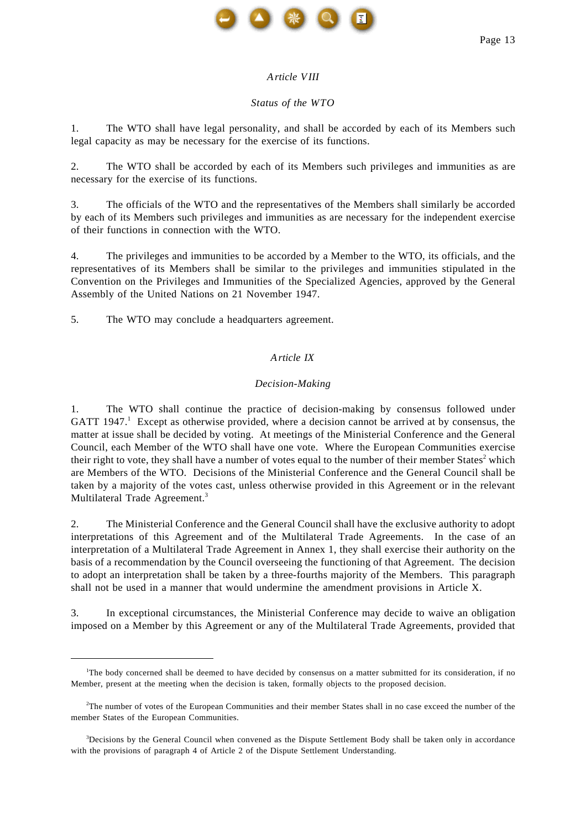#### *Article VIII*

### *Status of the WTO*

1. The WTO shall have legal personality, and shall be accorded by each of its Members such legal capacity as may be necessary for the exercise of its functions.

2. The WTO shall be accorded by each of its Members such privileges and immunities as are necessary for the exercise of its functions.

3. The officials of the WTO and the representatives of the Members shall similarly be accorded by each of its Members such privileges and immunities as are necessary for the independent exercise of their functions in connection with the WTO.

4. The privileges and immunities to be accorded by a Member to the WTO, its officials, and the representatives of its Members shall be similar to the privileges and immunities stipulated in the Convention on the Privileges and Immunities of the Specialized Agencies, approved by the General Assembly of the United Nations on 21 November 1947.

5. The WTO may conclude a headquarters agreement.

l

# *Article IX*

# *Decision-Making*

1. The WTO shall continue the practice of decision-making by consensus followed under GATT 1947.<sup>1</sup> Except as otherwise provided, where a decision cannot be arrived at by consensus, the matter at issue shall be decided by voting. At meetings of the Ministerial Conference and the General Council, each Member of the WTO shall have one vote. Where the European Communities exercise their right to vote, they shall have a number of votes equal to the number of their member States<sup>2</sup> which are Members of the WTO. Decisions of the Ministerial Conference and the General Council shall be taken by a majority of the votes cast, unless otherwise provided in this Agreement or in the relevant Multilateral Trade Agreement.<sup>3</sup>

2. The Ministerial Conference and the General Council shall have the exclusive authority to adopt interpretations of this Agreement and of the Multilateral Trade Agreements. In the case of an interpretation of a Multilateral Trade Agreement in Annex 1, they shall exercise their authority on the basis of a recommendation by the Council overseeing the functioning of that Agreement. The decision to adopt an interpretation shall be taken by a three-fourths majority of the Members. This paragraph shall not be used in a manner that would undermine the amendment provisions in Article X.

3. In exceptional circumstances, the Ministerial Conference may decide to waive an obligation imposed on a Member by this Agreement or any of the Multilateral Trade Agreements, provided that

<sup>&</sup>lt;sup>1</sup>The body concerned shall be deemed to have decided by consensus on a matter submitted for its consideration, if no Member, present at the meeting when the decision is taken, formally objects to the proposed decision.

<sup>&</sup>lt;sup>2</sup>The number of votes of the European Communities and their member States shall in no case exceed the number of the member States of the European Communities.

<sup>3</sup>Decisions by the General Council when convened as the Dispute Settlement Body shall be taken only in accordance with the provisions of paragraph 4 of Article 2 of the Dispute Settlement Understanding.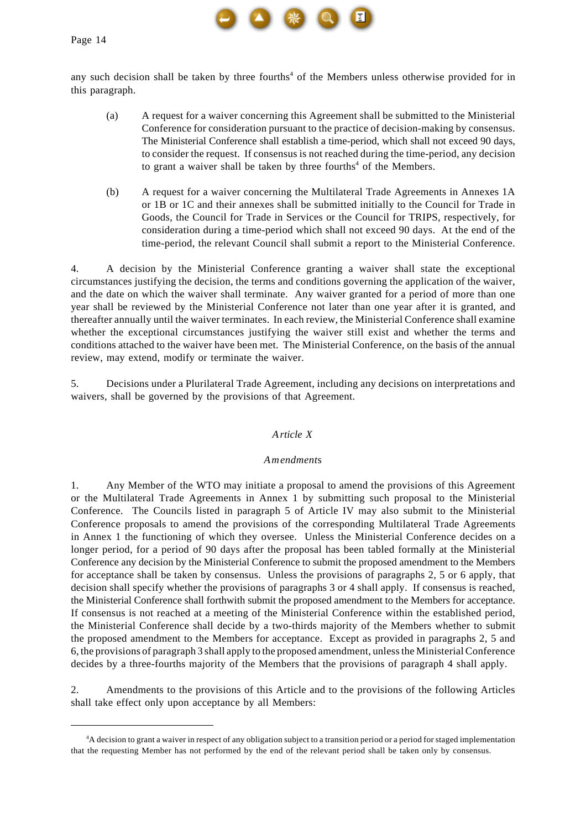any such decision shall be taken by three fourths<sup>4</sup> of the Members unless otherwise provided for in this paragraph.

- (a) A request for a waiver concerning this Agreement shall be submitted to the Ministerial Conference for consideration pursuant to the practice of decision-making by consensus. The Ministerial Conference shall establish a time-period, which shall not exceed 90 days, to consider the request. If consensus is not reached during the time-period, any decision to grant a waiver shall be taken by three fourths<sup>4</sup> of the Members.
- (b) A request for a waiver concerning the Multilateral Trade Agreements in Annexes 1A or 1B or 1C and their annexes shall be submitted initially to the Council for Trade in Goods, the Council for Trade in Services or the Council for TRIPS, respectively, for consideration during a time-period which shall not exceed 90 days. At the end of the time-period, the relevant Council shall submit a report to the Ministerial Conference.

4. A decision by the Ministerial Conference granting a waiver shall state the exceptional circumstances justifying the decision, the terms and conditions governing the application of the waiver, and the date on which the waiver shall terminate. Any waiver granted for a period of more than one year shall be reviewed by the Ministerial Conference not later than one year after it is granted, and thereafter annually until the waiver terminates. In each review, the Ministerial Conference shall examine whether the exceptional circumstances justifying the waiver still exist and whether the terms and conditions attached to the waiver have been met. The Ministerial Conference, on the basis of the annual review, may extend, modify or terminate the waiver.

5. Decisions under a Plurilateral Trade Agreement, including any decisions on interpretations and waivers, shall be governed by the provisions of that Agreement.

#### *Article X*

#### *Amendment*s

1. Any Member of the WTO may initiate a proposal to amend the provisions of this Agreement or the Multilateral Trade Agreements in Annex 1 by submitting such proposal to the Ministerial Conference. The Councils listed in paragraph 5 of Article IV may also submit to the Ministerial Conference proposals to amend the provisions of the corresponding Multilateral Trade Agreements in Annex 1 the functioning of which they oversee. Unless the Ministerial Conference decides on a longer period, for a period of 90 days after the proposal has been tabled formally at the Ministerial Conference any decision by the Ministerial Conference to submit the proposed amendment to the Members for acceptance shall be taken by consensus. Unless the provisions of paragraphs 2, 5 or 6 apply, that decision shall specify whether the provisions of paragraphs 3 or 4 shall apply. If consensus is reached, the Ministerial Conference shall forthwith submit the proposed amendment to the Members for acceptance. If consensus is not reached at a meeting of the Ministerial Conference within the established period, the Ministerial Conference shall decide by a two-thirds majority of the Members whether to submit the proposed amendment to the Members for acceptance. Except as provided in paragraphs 2, 5 and 6, the provisions of paragraph 3 shall apply to the proposed amendment, unless the Ministerial Conference decides by a three-fourths majority of the Members that the provisions of paragraph 4 shall apply.

2. Amendments to the provisions of this Article and to the provisions of the following Articles shall take effect only upon acceptance by all Members:

 $\overline{a}$ 

<sup>4</sup>A decision to grant a waiver in respect of any obligation subject to a transition period or a period for staged implementation that the requesting Member has not performed by the end of the relevant period shall be taken only by consensus.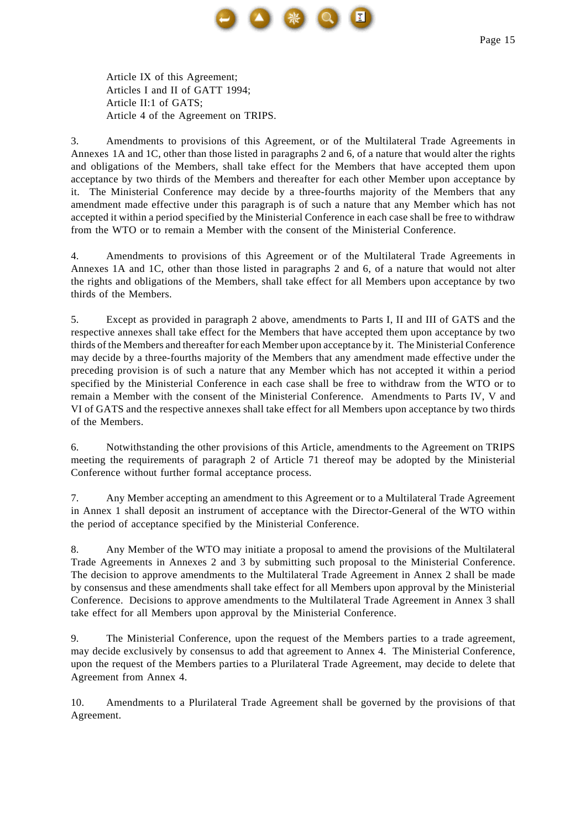Article IX of this Agreement; Articles I and II of GATT 1994; Article II:1 of GATS; Article 4 of the Agreement on TRIPS.

3. Amendments to provisions of this Agreement, or of the Multilateral Trade Agreements in Annexes 1A and 1C, other than those listed in paragraphs 2 and 6, of a nature that would alter the rights and obligations of the Members, shall take effect for the Members that have accepted them upon acceptance by two thirds of the Members and thereafter for each other Member upon acceptance by it. The Ministerial Conference may decide by a three-fourths majority of the Members that any amendment made effective under this paragraph is of such a nature that any Member which has not accepted it within a period specified by the Ministerial Conference in each case shall be free to withdraw from the WTO or to remain a Member with the consent of the Ministerial Conference.

4. Amendments to provisions of this Agreement or of the Multilateral Trade Agreements in Annexes 1A and 1C, other than those listed in paragraphs 2 and 6, of a nature that would not alter the rights and obligations of the Members, shall take effect for all Members upon acceptance by two thirds of the Members.

5. Except as provided in paragraph 2 above, amendments to Parts I, II and III of GATS and the respective annexes shall take effect for the Members that have accepted them upon acceptance by two thirds of the Members and thereafter for each Member upon acceptance by it. The Ministerial Conference may decide by a three-fourths majority of the Members that any amendment made effective under the preceding provision is of such a nature that any Member which has not accepted it within a period specified by the Ministerial Conference in each case shall be free to withdraw from the WTO or to remain a Member with the consent of the Ministerial Conference. Amendments to Parts IV, V and VI of GATS and the respective annexes shall take effect for all Members upon acceptance by two thirds of the Members.

6. Notwithstanding the other provisions of this Article, amendments to the Agreement on TRIPS meeting the requirements of paragraph 2 of Article 71 thereof may be adopted by the Ministerial Conference without further formal acceptance process.

7. Any Member accepting an amendment to this Agreement or to a Multilateral Trade Agreement in Annex 1 shall deposit an instrument of acceptance with the Director-General of the WTO within the period of acceptance specified by the Ministerial Conference.

8. Any Member of the WTO may initiate a proposal to amend the provisions of the Multilateral Trade Agreements in Annexes 2 and 3 by submitting such proposal to the Ministerial Conference. The decision to approve amendments to the Multilateral Trade Agreement in Annex 2 shall be made by consensus and these amendments shall take effect for all Members upon approval by the Ministerial Conference. Decisions to approve amendments to the Multilateral Trade Agreement in Annex 3 shall take effect for all Members upon approval by the Ministerial Conference.

9. The Ministerial Conference, upon the request of the Members parties to a trade agreement, may decide exclusively by consensus to add that agreement to Annex 4. The Ministerial Conference, upon the request of the Members parties to a Plurilateral Trade Agreement, may decide to delete that Agreement from Annex 4.

10. Amendments to a Plurilateral Trade Agreement shall be governed by the provisions of that Agreement.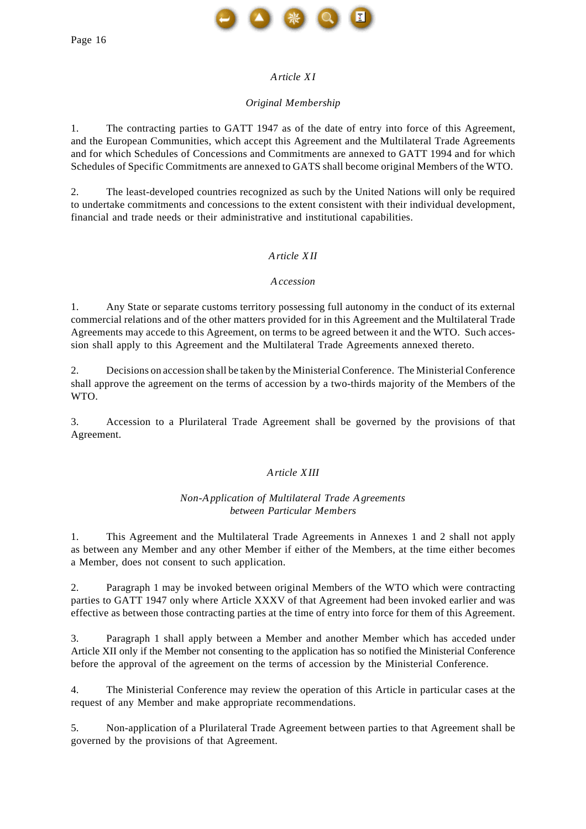### *Article XI*

# *Original Membership*

1. The contracting parties to GATT 1947 as of the date of entry into force of this Agreement, and the European Communities, which accept this Agreement and the Multilateral Trade Agreements and for which Schedules of Concessions and Commitments are annexed to GATT 1994 and for which Schedules of Specific Commitments are annexed to GATS shall become original Members of the WTO.

2. The least-developed countries recognized as such by the United Nations will only be required to undertake commitments and concessions to the extent consistent with their individual development, financial and trade needs or their administrative and institutional capabilities.

# *Article XII*

### *Accession*

1. Any State or separate customs territory possessing full autonomy in the conduct of its external commercial relations and of the other matters provided for in this Agreement and the Multilateral Trade Agreements may accede to this Agreement, on terms to be agreed between it and the WTO. Such accession shall apply to this Agreement and the Multilateral Trade Agreements annexed thereto.

2. Decisions on accession shall be taken by the Ministerial Conference. The Ministerial Conference shall approve the agreement on the terms of accession by a two-thirds majority of the Members of the WTO.

3. Accession to a Plurilateral Trade Agreement shall be governed by the provisions of that Agreement.

# *Article XIII*

# *Non-Application of Multilateral Trade Agreements between Particular Members*

1. This Agreement and the Multilateral Trade Agreements in Annexes 1 and 2 shall not apply as between any Member and any other Member if either of the Members, at the time either becomes a Member, does not consent to such application.

2. Paragraph 1 may be invoked between original Members of the WTO which were contracting parties to GATT 1947 only where Article XXXV of that Agreement had been invoked earlier and was effective as between those contracting parties at the time of entry into force for them of this Agreement.

3. Paragraph 1 shall apply between a Member and another Member which has acceded under Article XII only if the Member not consenting to the application has so notified the Ministerial Conference before the approval of the agreement on the terms of accession by the Ministerial Conference.

4. The Ministerial Conference may review the operation of this Article in particular cases at the request of any Member and make appropriate recommendations.

5. Non-application of a Plurilateral Trade Agreement between parties to that Agreement shall be governed by the provisions of that Agreement.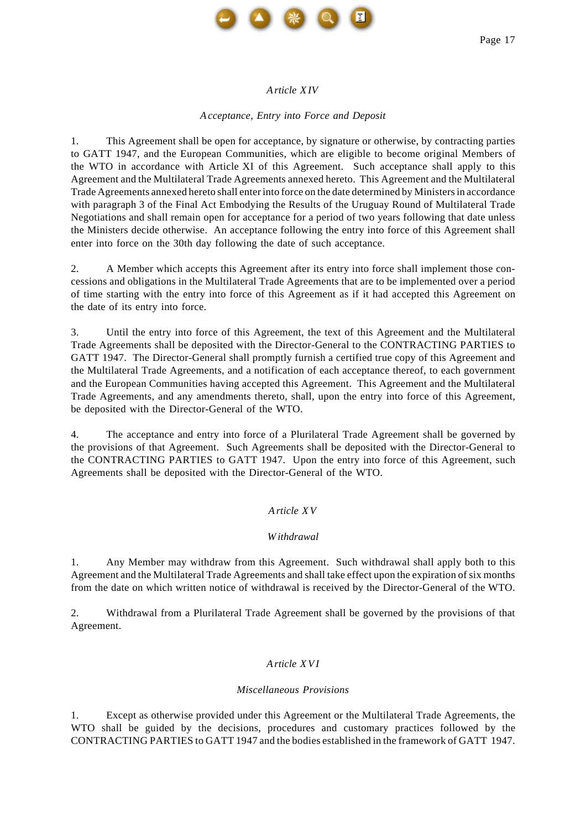# *Article XIV*

### *Acceptance, Entry into Force and Deposit*

1. This Agreement shall be open for acceptance, by signature or otherwise, by contracting parties to GATT 1947, and the European Communities, which are eligible to become original Members of the WTO in accordance with Article XI of this Agreement. Such acceptance shall apply to this Agreement and the Multilateral Trade Agreements annexed hereto. This Agreement and the Multilateral Trade Agreements annexed hereto shall enter into force on the date determined by Ministers in accordance with paragraph 3 of the Final Act Embodying the Results of the Uruguay Round of Multilateral Trade Negotiations and shall remain open for acceptance for a period of two years following that date unless the Ministers decide otherwise. An acceptance following the entry into force of this Agreement shall enter into force on the 30th day following the date of such acceptance.

2. A Member which accepts this Agreement after its entry into force shall implement those concessions and obligations in the Multilateral Trade Agreements that are to be implemented over a period of time starting with the entry into force of this Agreement as if it had accepted this Agreement on the date of its entry into force.

3. Until the entry into force of this Agreement, the text of this Agreement and the Multilateral Trade Agreements shall be deposited with the Director-General to the CONTRACTING PARTIES to GATT 1947. The Director-General shall promptly furnish a certified true copy of this Agreement and the Multilateral Trade Agreements, and a notification of each acceptance thereof, to each government and the European Communities having accepted this Agreement. This Agreement and the Multilateral Trade Agreements, and any amendments thereto, shall, upon the entry into force of this Agreement, be deposited with the Director-General of the WTO.

4. The acceptance and entry into force of a Plurilateral Trade Agreement shall be governed by the provisions of that Agreement. Such Agreements shall be deposited with the Director-General to the CONTRACTING PARTIES to GATT 1947. Upon the entry into force of this Agreement, such Agreements shall be deposited with the Director-General of the WTO.

# *Article X V*

# *W ithdrawal*

1. Any Member may withdraw from this Agreement. Such withdrawal shall apply both to this Agreement and the Multilateral Trade Agreements and shall take effect upon the expiration of six months from the date on which written notice of withdrawal is received by the Director-General of the WTO.

2. Withdrawal from a Plurilateral Trade Agreement shall be governed by the provisions of that Agreement.

# *Article X VI*

# *Miscellaneous Provisions*

1. Except as otherwise provided under this Agreement or the Multilateral Trade Agreements, the WTO shall be guided by the decisions, procedures and customary practices followed by the CONTRACTING PARTIES to GATT 1947 and the bodies established in the framework of GATT 1947.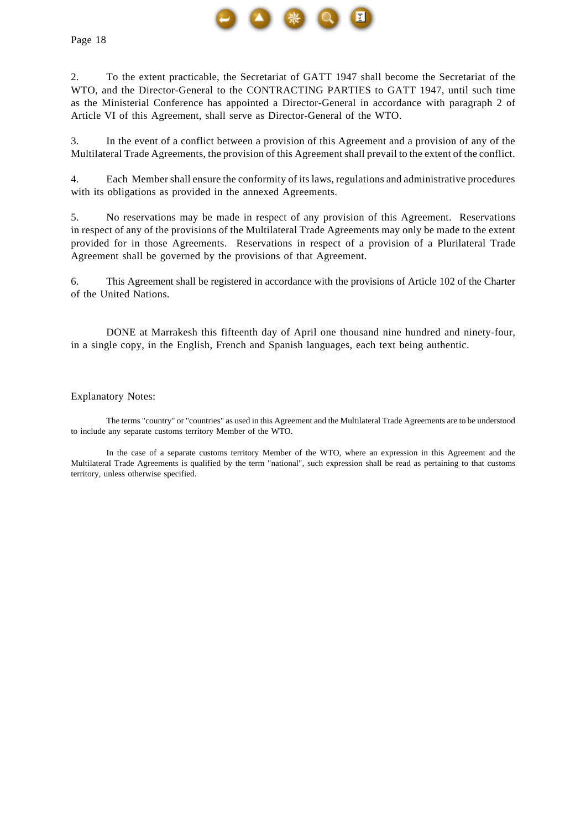2. To the extent practicable, the Secretariat of GATT 1947 shall become the Secretariat of the WTO, and the Director-General to the CONTRACTING PARTIES to GATT 1947, until such time as the Ministerial Conference has appointed a Director-General in accordance with paragraph 2 of Article VI of this Agreement, shall serve as Director-General of the WTO.

3. In the event of a conflict between a provision of this Agreement and a provision of any of the Multilateral Trade Agreements, the provision of this Agreement shall prevail to the extent of the conflict.

4. Each Member shall ensure the conformity of its laws, regulations and administrative procedures with its obligations as provided in the annexed Agreements.

5. No reservations may be made in respect of any provision of this Agreement. Reservations in respect of any of the provisions of the Multilateral Trade Agreements may only be made to the extent provided for in those Agreements. Reservations in respect of a provision of a Plurilateral Trade Agreement shall be governed by the provisions of that Agreement.

6. This Agreement shall be registered in accordance with the provisions of Article 102 of the Charter of the United Nations.

DONE at Marrakesh this fifteenth day of April one thousand nine hundred and ninety-four, in a single copy, in the English, French and Spanish languages, each text being authentic.

### Explanatory Notes:

The terms "country" or "countries" as used in this Agreement and the Multilateral Trade Agreements are to be understood to include any separate customs territory Member of the WTO.

In the case of a separate customs territory Member of the WTO, where an expression in this Agreement and the Multilateral Trade Agreements is qualified by the term "national", such expression shall be read as pertaining to that customs territory, unless otherwise specified.